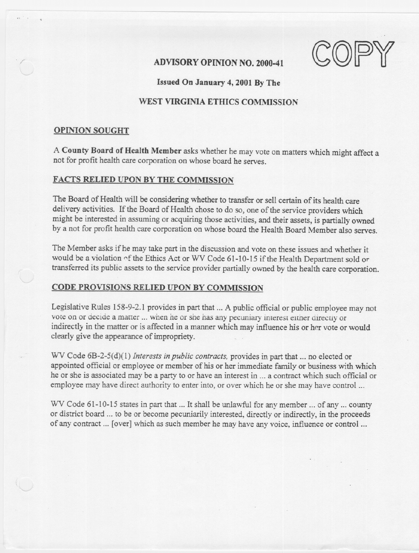$\text{ADVISORY OF INION NO. 2000-41}$  .  $\text{COPY}$ 

---

Issued On January 4, 2001 By The

# WEST VIRGINIA ETHICS COMMISSION

### OPINION SOUGHT

. "

A County Board of Health Member asks whether he may vote on matters which might affect a not for profit health care corporation on whose board he serves.

## FACTS RELIED UPON BY THE COMMISSION

The Board of Health will be considering whether to transfer or sell certain of its health care delivery activities. If the Board of Health chose to do so, one of the service providers which might be interested in assuming or acquiring those activities, and their assets, is partially owned by a not for profit health care corporation on whose board the Health Board Member also serves.

The Member asks if he may take part in the discussion and vote on these issues and whether it would be a violation ~f the Ethics Act or WV Code 61-10-15 if the Health Department sold or transferred its public assets to the service provider partially owned by the health care corporation.

#### CODE PROVISIONS RELIED UPON BY COMMISSION

Legislative Rules 158-9-2.1 provides in part that ... A public official or public employee may not vote on or decide a matter ... when he or she has any pecuniary interest either directly or indirectly in the matter or is affected in a manner which may influence his or her vote or would clearly give the appearance of impropriety.

WV Code 6B-2-5(d)(l) *Interests inpublic contracts,* provides in part that... no elected or appointed official or employee or member of his or her immediate family or business with which he or she is associated may be a party to or have an interest in ... a contract which such official or employee may have direct authority to enter into, or over which he or she may have control ...

WV Code 61-10-15 states in part that ... It shall be unlawful for any member ... of any ... county or district board ... to be or become pecuniarily interested, directly or indirectly, in the proceeds of any contract ... [over] which as such member he may have any voice, influence or control...